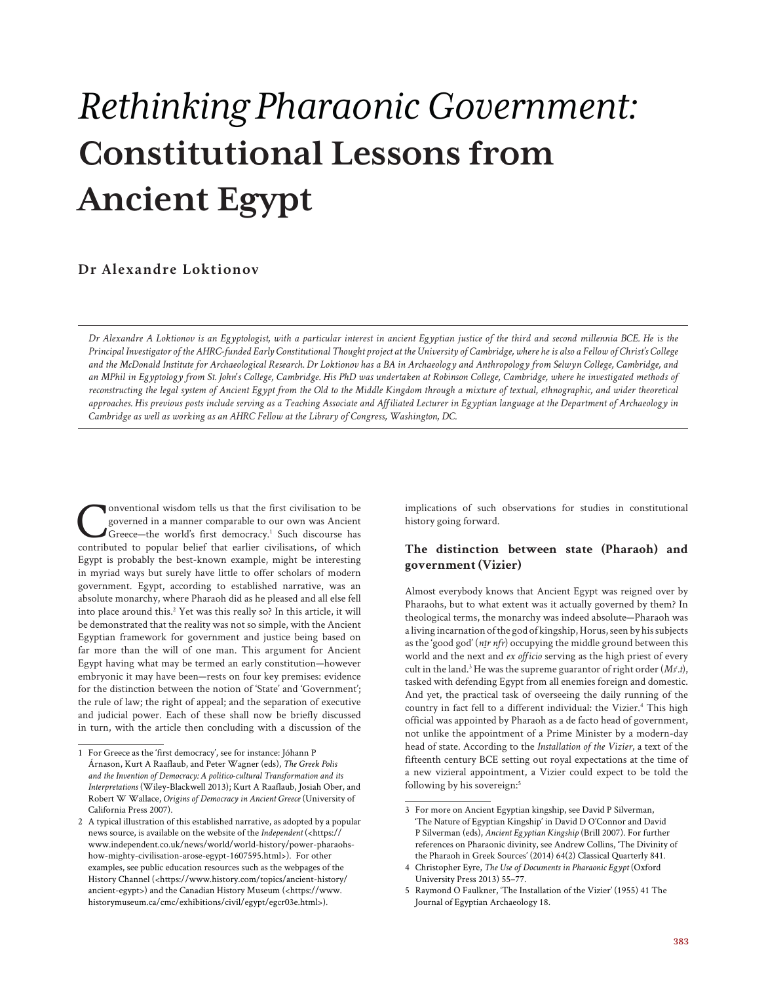# *Rethinking Pharaonic Government:* **Constitutional Lessons from Ancient Egypt**

# **Dr Alexandre Loktionov**

*Dr Alexandre A Loktionov is an Egyptologist, with a particular interest in ancient Egyptian justice of the third and second millennia BCE. He is the Principal Investigator of the AHRC-funded Early Constitutional Thought project at the University of Cambridge, where he is also a Fellow of Christ's College and the McDonald Institute for Archaeological Research. Dr Loktionov has a BA in Archaeology and Anthropology from Selwyn College, Cambridge, and an MPhil in Egyptology from St. John's College, Cambridge. His PhD was undertaken at Robinson College, Cambridge, where he investigated methods of reconstructing the legal system of Ancient Egypt from the Old to the Middle Kingdom through a mixture of textual, ethnographic, and wider theoretical approaches. His previous posts include serving as a Teaching Associate and Affiliated Lecturer in Egyptian language at the Department of Archaeology in Cambridge as well as working as an AHRC Fellow at the Library of Congress, Washington, DC.*

**Conventional wisdom tells us that the first civilisation to be**<br>governed in a manner comparable to our own was Ancient<br>Greece—the world's first democracy.<sup>1</sup> Such discourse has<br>contributed to popular belief that earlier c governed in a manner comparable to our own was Ancient Greece-the world's first democracy.<sup>1</sup> Such discourse has contributed to popular belief that earlier civilisations, of which Egypt is probably the best-known example, might be interesting in myriad ways but surely have little to offer scholars of modern government. Egypt, according to established narrative, was an absolute monarchy, where Pharaoh did as he pleased and all else fell into place around this.<sup>2</sup> Yet was this really so? In this article, it will be demonstrated that the reality was not so simple, with the Ancient Egyptian framework for government and justice being based on far more than the will of one man. This argument for Ancient Egypt having what may be termed an early constitution—however embryonic it may have been—rests on four key premises: evidence for the distinction between the notion of 'State' and 'Government'; the rule of law; the right of appeal; and the separation of executive and judicial power. Each of these shall now be briefly discussed in turn, with the article then concluding with a discussion of the

implications of such observations for studies in constitutional history going forward.

### **The distinction between state (Pharaoh) and government (Vizier)**

Almost everybody knows that Ancient Egypt was reigned over by Pharaohs, but to what extent was it actually governed by them? In theological terms, the monarchy was indeed absolute—Pharaoh was a living incarnation of the god of kingship, Horus, seen by his subjects as the 'good god' (*ntr nfr*) occupying the middle ground between this world and the next and *ex officio* serving as the high priest of every cult in the land.<sup>3</sup> He was the supreme guarantor of right order (*M3<sup>c</sup>.t*), tasked with defending Egypt from all enemies foreign and domestic. And yet, the practical task of overseeing the daily running of the country in fact fell to a different individual: the Vizier.<sup>4</sup> This high official was appointed by Pharaoh as a de facto head of government, not unlike the appointment of a Prime Minister by a modern-day head of state. According to the *Installation of the Vizier*, a text of the fifteenth century BCE setting out royal expectations at the time of a new vizieral appointment, a Vizier could expect to be told the following by his sovereign:<sup>5</sup>

<sup>1</sup> For Greece as the 'first democracy', see for instance: Jóhann P Árnason, Kurt A Raaflaub, and Peter Wagner (eds), *The Greek Polis and the Invention of Democracy: A politico-cultural Transformation and its Interpretations* (Wiley-Blackwell 2013); Kurt A Raaflaub, Josiah Ober, and Robert W Wallace, *Origins of Democracy in Ancient Greece* (University of California Press 2007).

<sup>2</sup> A typical illustration of this established narrative, as adopted by a popular news source, is available on the website of the *Independent* (<https:// www.independent.co.uk/news/world/world-history/power-pharaohshow-mighty-civilisation-arose-egypt-1607595.html>). For other examples, see public education resources such as the webpages of the History Channel (<https://www.history.com/topics/ancient-history/ ancient-egypt>) and the Canadian History Museum (<https://www. historymuseum.ca/cmc/exhibitions/civil/egypt/egcr03e.html>).

<sup>3</sup> For more on Ancient Egyptian kingship, see David P Silverman, 'The Nature of Egyptian Kingship' in David D O'Connor and David P Silverman (eds), *Ancient Egyptian Kingship* (Brill 2007). For further references on Pharaonic divinity, see Andrew Collins, 'The Divinity of the Pharaoh in Greek Sources' (2014) 64(2) Classical Quarterly 841.

<sup>4</sup> Christopher Eyre, *The Use of Documents in Pharaonic Egypt* (Oxford University Press 2013) 55–77.

<sup>5</sup> Raymond O Faulkner, 'The Installation of the Vizier' (1955) 41 The Journal of Egyptian Archaeology 18.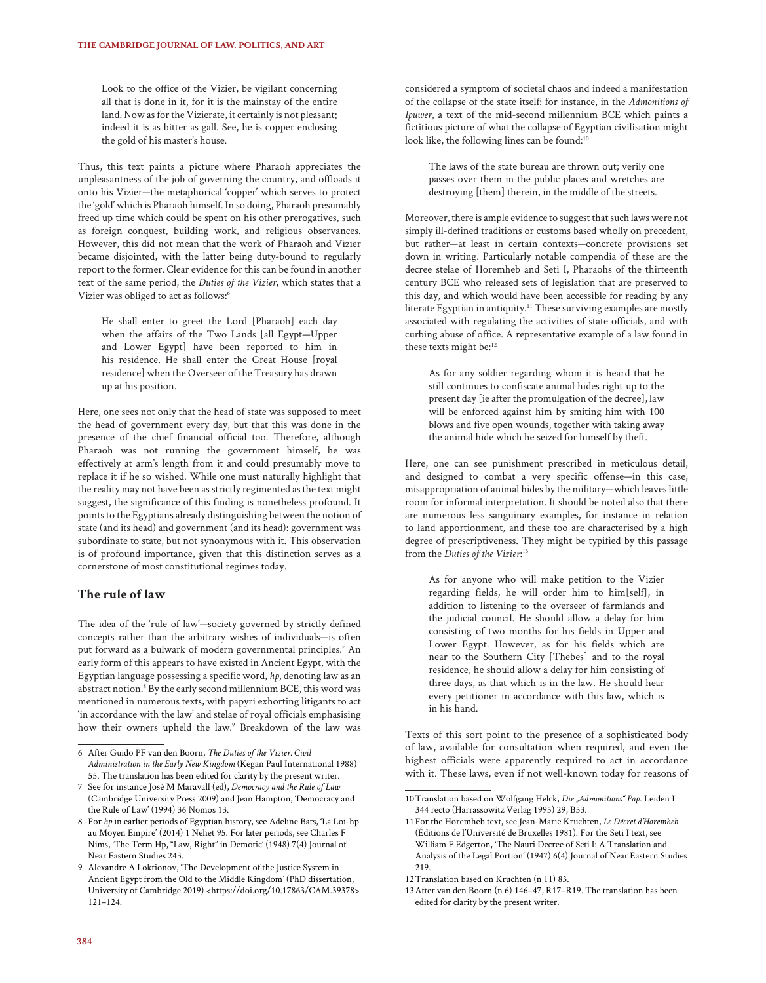Look to the office of the Vizier, be vigilant concerning all that is done in it, for it is the mainstay of the entire land. Now as for the Vizierate, it certainly is not pleasant; indeed it is as bitter as gall. See, he is copper enclosing the gold of his master's house.

Thus, this text paints a picture where Pharaoh appreciates the unpleasantness of the job of governing the country, and offloads it onto his Vizier—the metaphorical 'copper' which serves to protect the 'gold' which is Pharaoh himself. In so doing, Pharaoh presumably freed up time which could be spent on his other prerogatives, such as foreign conquest, building work, and religious observances. However, this did not mean that the work of Pharaoh and Vizier became disjointed, with the latter being duty-bound to regularly report to the former. Clear evidence for this can be found in another text of the same period, the *Duties of the Vizier*, which states that a Vizier was obliged to act as follows:<sup>6</sup>

He shall enter to greet the Lord [Pharaoh] each day when the affairs of the Two Lands [all Egypt—Upper and Lower Egypt] have been reported to him in his residence. He shall enter the Great House [royal residence] when the Overseer of the Treasury has drawn up at his position.

Here, one sees not only that the head of state was supposed to meet the head of government every day, but that this was done in the presence of the chief financial official too. Therefore, although Pharaoh was not running the government himself, he was effectively at arm's length from it and could presumably move to replace it if he so wished. While one must naturally highlight that the reality may not have been as strictly regimented as the text might suggest, the significance of this finding is nonetheless profound. It points to the Egyptians already distinguishing between the notion of state (and its head) and government (and its head): government was subordinate to state, but not synonymous with it. This observation is of profound importance, given that this distinction serves as a cornerstone of most constitutional regimes today.

## **The rule of law**

The idea of the 'rule of law'—society governed by strictly defined concepts rather than the arbitrary wishes of individuals—is often put forward as a bulwark of modern governmental principles.<sup>7</sup> An early form of this appears to have existed in Ancient Egypt, with the Egyptian language possessing a specific word, *hp*, denoting law as an abstract notion.<sup>8</sup> By the early second millennium BCE, this word was mentioned in numerous texts, with papyri exhorting litigants to act 'in accordance with the law' and stelae of royal officials emphasising how their owners upheld the law.<sup>9</sup> Breakdown of the law was considered a symptom of societal chaos and indeed a manifestation of the collapse of the state itself: for instance, in the *Admonitions of Ipuwer*, a text of the mid-second millennium BCE which paints a fictitious picture of what the collapse of Egyptian civilisation might look like, the following lines can be found:<sup>10</sup>

The laws of the state bureau are thrown out; verily one passes over them in the public places and wretches are destroying [them] therein, in the middle of the streets.

Moreover, there is ample evidence to suggest that such laws were not simply ill-defined traditions or customs based wholly on precedent, but rather—at least in certain contexts—concrete provisions set down in writing. Particularly notable compendia of these are the decree stelae of Horemheb and Seti I, Pharaohs of the thirteenth century BCE who released sets of legislation that are preserved to this day, and which would have been accessible for reading by any literate Egyptian in antiquity.<sup>11</sup> These surviving examples are mostly associated with regulating the activities of state officials, and with curbing abuse of office. A representative example of a law found in these texts might be:<sup>12</sup>

As for any soldier regarding whom it is heard that he still continues to confiscate animal hides right up to the present day [ie after the promulgation of the decree], law will be enforced against him by smiting him with 100 blows and five open wounds, together with taking away the animal hide which he seized for himself by theft.

Here, one can see punishment prescribed in meticulous detail, and designed to combat a very specific offense—in this case, misappropriation of animal hides by the military—which leaves little room for informal interpretation. It should be noted also that there are numerous less sanguinary examples, for instance in relation to land apportionment, and these too are characterised by a high degree of prescriptiveness. They might be typified by this passage from the *Duties of the Vizier*: 13

As for anyone who will make petition to the Vizier regarding fields, he will order him to him[self], in addition to listening to the overseer of farmlands and the judicial council. He should allow a delay for him consisting of two months for his fields in Upper and Lower Egypt. However, as for his fields which are near to the Southern City [Thebes] and to the royal residence, he should allow a delay for him consisting of three days, as that which is in the law. He should hear every petitioner in accordance with this law, which is in his hand.

Texts of this sort point to the presence of a sophisticated body of law, available for consultation when required, and even the highest officials were apparently required to act in accordance with it. These laws, even if not well-known today for reasons of

<sup>6</sup> After Guido PF van den Boorn, *The Duties of the Vizier: Civil Administration in the Early New Kingdom* (Kegan Paul International 1988) 55. The translation has been edited for clarity by the present writer.

<sup>7</sup> See for instance José M Maravall (ed), *Democracy and the Rule of Law*  (Cambridge University Press 2009) and Jean Hampton, 'Democracy and the Rule of Law' (1994) 36 Nomos 13.

<sup>8</sup> For *hp* in earlier periods of Egyptian history, see Adeline Bats, 'La Loi-hp au Moyen Empire' (2014) 1 Nehet 95. For later periods, see Charles F Nims, 'The Term Hp, "Law, Right" in Demotic' (1948) 7(4) Journal of Near Eastern Studies 243.

<sup>9</sup> Alexandre A Loktionov, 'The Development of the Justice System in Ancient Egypt from the Old to the Middle Kingdom' (PhD dissertation, University of Cambridge 2019) <https://doi.org/10.17863/CAM.39378> 121–124.

<sup>10</sup>Translation based on Wolfgang Helck, *Die "Admonitions" Pap*. Leiden I 344 recto (Harrassowitz Verlag 1995) 29, B53.

<sup>11</sup>For the Horemheb text, see Jean-Marie Kruchten, *Le Décret d'Horemheb* (Éditions de l'Université de Bruxelles 1981). For the Seti I text, see William F Edgerton, 'The Nauri Decree of Seti I: A Translation and Analysis of the Legal Portion' (1947) 6(4) Journal of Near Eastern Studies 219.

<sup>12</sup>Translation based on Kruchten (n 11) 83.

<sup>13</sup>After van den Boorn (n 6) 146–47, R17–R19. The translation has been edited for clarity by the present writer.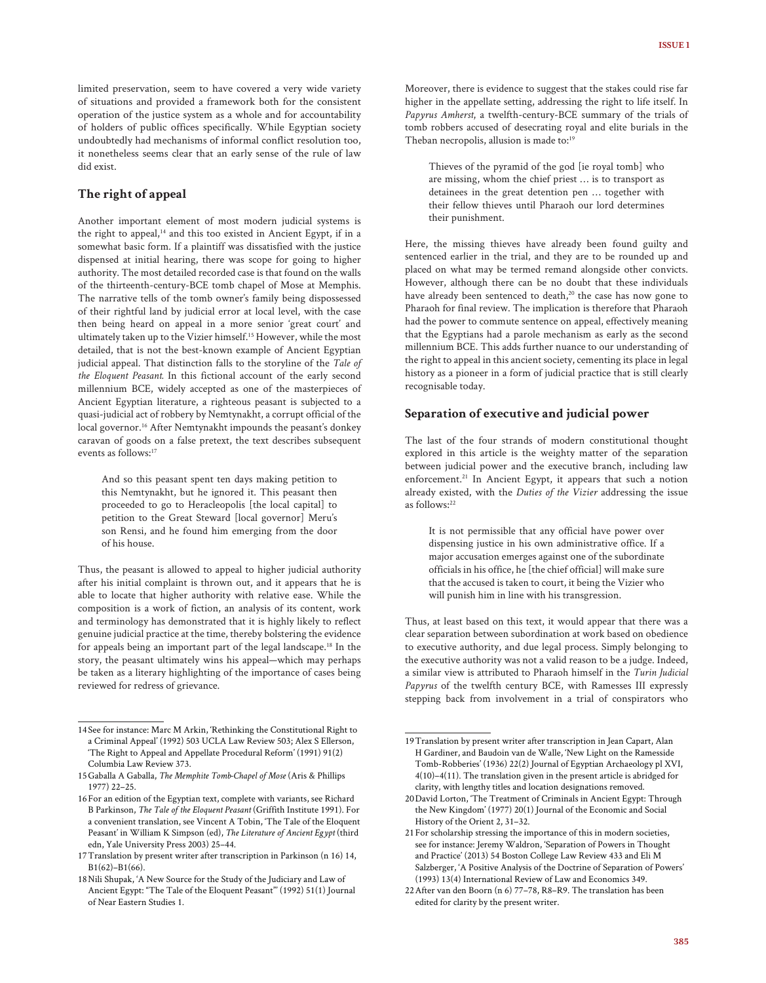limited preservation, seem to have covered a very wide variety of situations and provided a framework both for the consistent operation of the justice system as a whole and for accountability of holders of public offices specifically. While Egyptian society undoubtedly had mechanisms of informal conflict resolution too, it nonetheless seems clear that an early sense of the rule of law did exist.

#### **The right of appeal**

Another important element of most modern judicial systems is the right to appeal,<sup>14</sup> and this too existed in Ancient Egypt, if in a somewhat basic form. If a plaintiff was dissatisfied with the justice dispensed at initial hearing, there was scope for going to higher authority. The most detailed recorded case is that found on the walls of the thirteenth-century-BCE tomb chapel of Mose at Memphis. The narrative tells of the tomb owner's family being dispossessed of their rightful land by judicial error at local level, with the case then being heard on appeal in a more senior 'great court' and ultimately taken up to the Vizier himself.15 However, while the most detailed, that is not the best-known example of Ancient Egyptian judicial appeal. That distinction falls to the storyline of the *Tale of the Eloquent Peasant.* In this fictional account of the early second millennium BCE, widely accepted as one of the masterpieces of Ancient Egyptian literature, a righteous peasant is subjected to a quasi-judicial act of robbery by Nemtynakht, a corrupt official of the local governor.<sup>16</sup> After Nemtynakht impounds the peasant's donkey caravan of goods on a false pretext, the text describes subsequent events as follows:17

And so this peasant spent ten days making petition to this Nemtynakht, but he ignored it. This peasant then proceeded to go to Heracleopolis [the local capital] to petition to the Great Steward [local governor] Meru's son Rensi, and he found him emerging from the door of his house.

Thus, the peasant is allowed to appeal to higher judicial authority after his initial complaint is thrown out, and it appears that he is able to locate that higher authority with relative ease. While the composition is a work of fiction, an analysis of its content, work and terminology has demonstrated that it is highly likely to reflect genuine judicial practice at the time, thereby bolstering the evidence for appeals being an important part of the legal landscape.18 In the story, the peasant ultimately wins his appeal—which may perhaps be taken as a literary highlighting of the importance of cases being reviewed for redress of grievance.

Moreover, there is evidence to suggest that the stakes could rise far higher in the appellate setting, addressing the right to life itself. In *Papyrus Amherst*, a twelfth-century-BCE summary of the trials of tomb robbers accused of desecrating royal and elite burials in the Theban necropolis, allusion is made to:<sup>19</sup>

Thieves of the pyramid of the god [ie royal tomb] who are missing, whom the chief priest … is to transport as detainees in the great detention pen … together with their fellow thieves until Pharaoh our lord determines their punishment.

Here, the missing thieves have already been found guilty and sentenced earlier in the trial, and they are to be rounded up and placed on what may be termed remand alongside other convicts. However, although there can be no doubt that these individuals have already been sentenced to death,<sup>20</sup> the case has now gone to Pharaoh for final review. The implication is therefore that Pharaoh had the power to commute sentence on appeal, effectively meaning that the Egyptians had a parole mechanism as early as the second millennium BCE. This adds further nuance to our understanding of the right to appeal in this ancient society, cementing its place in legal history as a pioneer in a form of judicial practice that is still clearly recognisable today.

#### **Separation of executive and judicial power**

The last of the four strands of modern constitutional thought explored in this article is the weighty matter of the separation between judicial power and the executive branch, including law enforcement.<sup>21</sup> In Ancient Egypt, it appears that such a notion already existed, with the *Duties of the Vizier* addressing the issue as follows:<sup>22</sup>

It is not permissible that any official have power over dispensing justice in his own administrative office. If a major accusation emerges against one of the subordinate officials in his office, he [the chief official] will make sure that the accused is taken to court, it being the Vizier who will punish him in line with his transgression.

Thus, at least based on this text, it would appear that there was a clear separation between subordination at work based on obedience to executive authority, and due legal process. Simply belonging to the executive authority was not a valid reason to be a judge. Indeed, a similar view is attributed to Pharaoh himself in the *Turin Judicial Papyrus* of the twelfth century BCE, with Ramesses III expressly stepping back from involvement in a trial of conspirators who

<sup>14</sup>See for instance: Marc M Arkin, 'Rethinking the Constitutional Right to a Criminal Appeal' (1992) 503 UCLA Law Review 503; Alex S Ellerson, 'The Right to Appeal and Appellate Procedural Reform' (1991) 91(2) Columbia Law Review 373.

<sup>15</sup>Gaballa A Gaballa, *The Memphite Tomb-Chapel of Mose* (Aris & Phillips 1977) 22–25.

<sup>16</sup>For an edition of the Egyptian text, complete with variants, see Richard B Parkinson, *The Tale of the Eloquent Peasant* (Griffith Institute 1991). For a convenient translation, see Vincent A Tobin, 'The Tale of the Eloquent Peasant' in William K Simpson (ed), *The Literature of Ancient Egypt* (third edn, Yale University Press 2003) 25–44.

<sup>17</sup>Translation by present writer after transcription in Parkinson (n 16) 14, B1(62)–B1(66).

<sup>18</sup>Nili Shupak, 'A New Source for the Study of the Judiciary and Law of Ancient Egypt: "The Tale of the Eloquent Peasant"' (1992) 51(1) Journal of Near Eastern Studies 1.

<sup>19</sup>Translation by present writer after transcription in Jean Capart, Alan H Gardiner, and Baudoin van de Walle, 'New Light on the Ramesside Tomb-Robberies' (1936) 22(2) Journal of Egyptian Archaeology pl XVI, 4(10)–4(11). The translation given in the present article is abridged for clarity, with lengthy titles and location designations removed.

<sup>20</sup>David Lorton, 'The Treatment of Criminals in Ancient Egypt: Through the New Kingdom' (1977) 20(1) Journal of the Economic and Social History of the Orient 2, 31–32.

<sup>21</sup>For scholarship stressing the importance of this in modern societies, see for instance: Jeremy Waldron, 'Separation of Powers in Thought and Practice' (2013) 54 Boston College Law Review 433 and Eli M Salzberger, 'A Positive Analysis of the Doctrine of Separation of Powers' (1993) 13(4) International Review of Law and Economics 349.

<sup>22</sup>After van den Boorn (n 6) 77–78, R8–R9. The translation has been edited for clarity by the present writer.